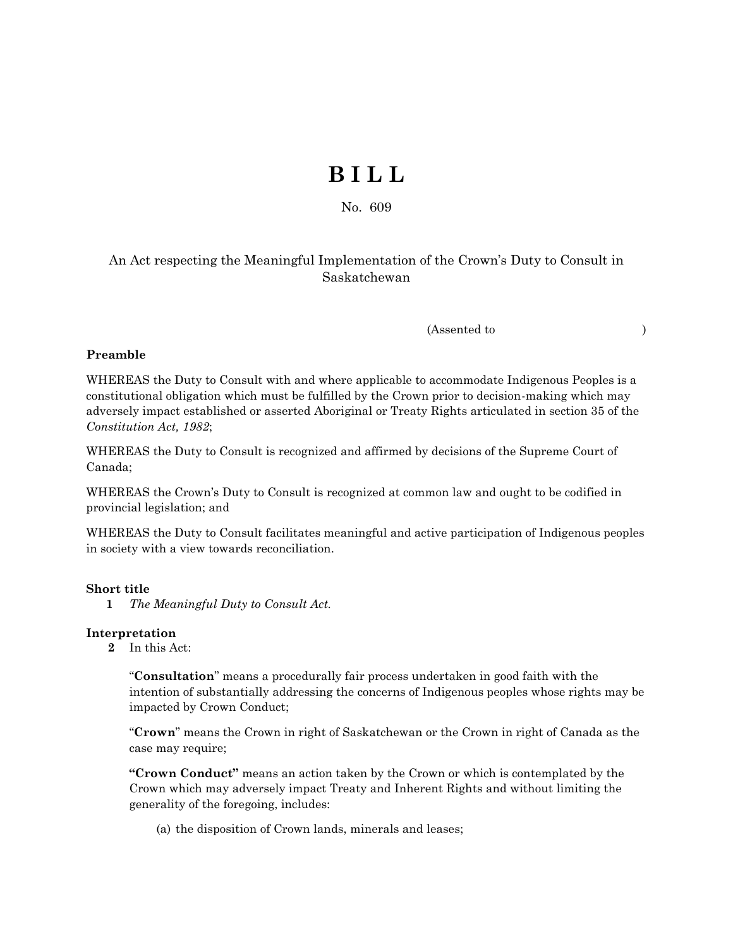# **B I L L**

No. 609

## An Act respecting the Meaningful Implementation of the Crown's Duty to Consult in Saskatchewan

(Assented to )

### **Preamble**

WHEREAS the Duty to Consult with and where applicable to accommodate Indigenous Peoples is a constitutional obligation which must be fulfilled by the Crown prior to decision-making which may adversely impact established or asserted Aboriginal or Treaty Rights articulated in section 35 of the *Constitution Act, 1982*;

WHEREAS the Duty to Consult is recognized and affirmed by decisions of the Supreme Court of Canada;

WHEREAS the Crown's Duty to Consult is recognized at common law and ought to be codified in provincial legislation; and

WHEREAS the Duty to Consult facilitates meaningful and active participation of Indigenous peoples in society with a view towards reconciliation.

### **Short title**

**1** *The Meaningful Duty to Consult Act.* 

#### **Interpretation**

**2** In this Act:

"**Consultation**" means a procedurally fair process undertaken in good faith with the intention of substantially addressing the concerns of Indigenous peoples whose rights may be impacted by Crown Conduct;

"**Crown**" means the Crown in right of Saskatchewan or the Crown in right of Canada as the case may require;

**"Crown Conduct"** means an action taken by the Crown or which is contemplated by the Crown which may adversely impact Treaty and Inherent Rights and without limiting the generality of the foregoing, includes:

(a) the disposition of Crown lands, minerals and leases;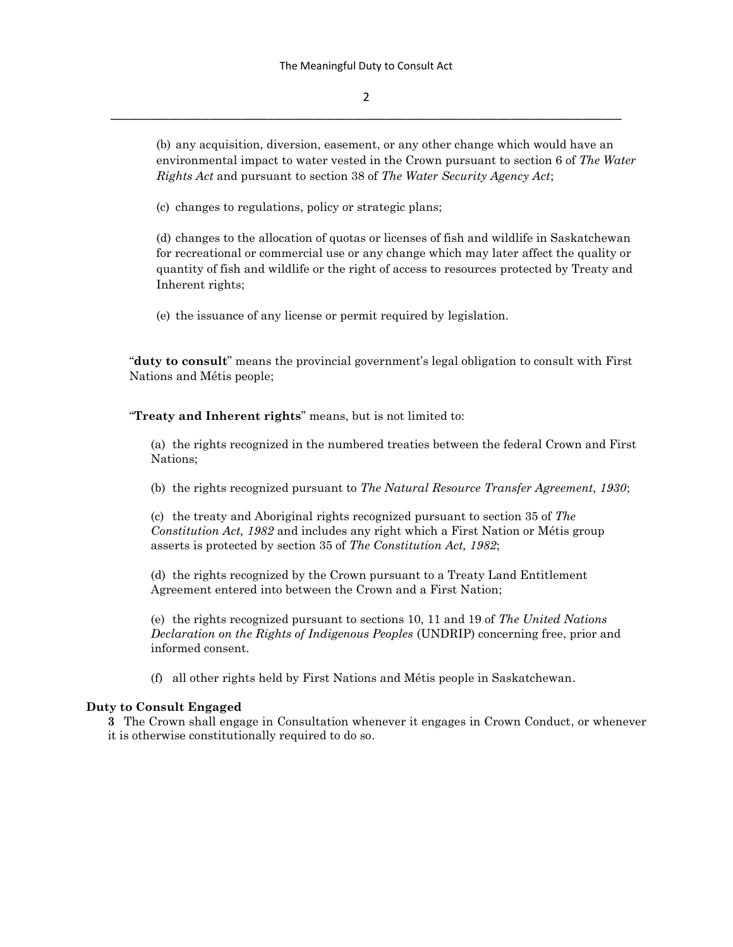2 \_\_\_\_\_\_\_\_\_\_\_\_\_\_\_\_\_\_\_\_\_\_\_\_\_\_\_\_\_\_\_\_\_\_\_\_\_\_\_\_\_\_\_\_\_\_\_\_\_\_\_\_\_\_\_\_\_\_\_\_\_\_\_\_\_\_\_\_\_\_\_\_\_\_\_\_\_\_

(b) any acquisition, diversion, easement, or any other change which would have an environmental impact to water vested in the Crown pursuant to section 6 of *The Water Rights Act* and pursuant to section 38 of *The Water Security Agency Act*;

(c) changes to regulations, policy or strategic plans;

(d) changes to the allocation of quotas or licenses of fish and wildlife in Saskatchewan for recreational or commercial use or any change which may later affect the quality or quantity of fish and wildlife or the right of access to resources protected by Treaty and Inherent rights;

(e) the issuance of any license or permit required by legislation.

"**duty to consult**" means the provincial government's legal obligation to consult with First Nations and Métis people;

"**Treaty and Inherent rights**" means, but is not limited to:

(a) the rights recognized in the numbered treaties between the federal Crown and First Nations;

(b) the rights recognized pursuant to *The Natural Resource Transfer Agreement, 1930*;

(c) the treaty and Aboriginal rights recognized pursuant to section 35 of *The Constitution Act, 1982* and includes any right which a First Nation or Métis group asserts is protected by section 35 of *The Constitution Act, 1982*;

(d) the rights recognized by the Crown pursuant to a Treaty Land Entitlement Agreement entered into between the Crown and a First Nation;

(e) the rights recognized pursuant to sections 10, 11 and 19 of *The United Nations Declaration on the Rights of Indigenous Peoples* (UNDRIP) concerning free, prior and informed consent.

(f) all other rights held by First Nations and Métis people in Saskatchewan.

#### **Duty to Consult Engaged**

**3** The Crown shall engage in Consultation whenever it engages in Crown Conduct, or whenever it is otherwise constitutionally required to do so.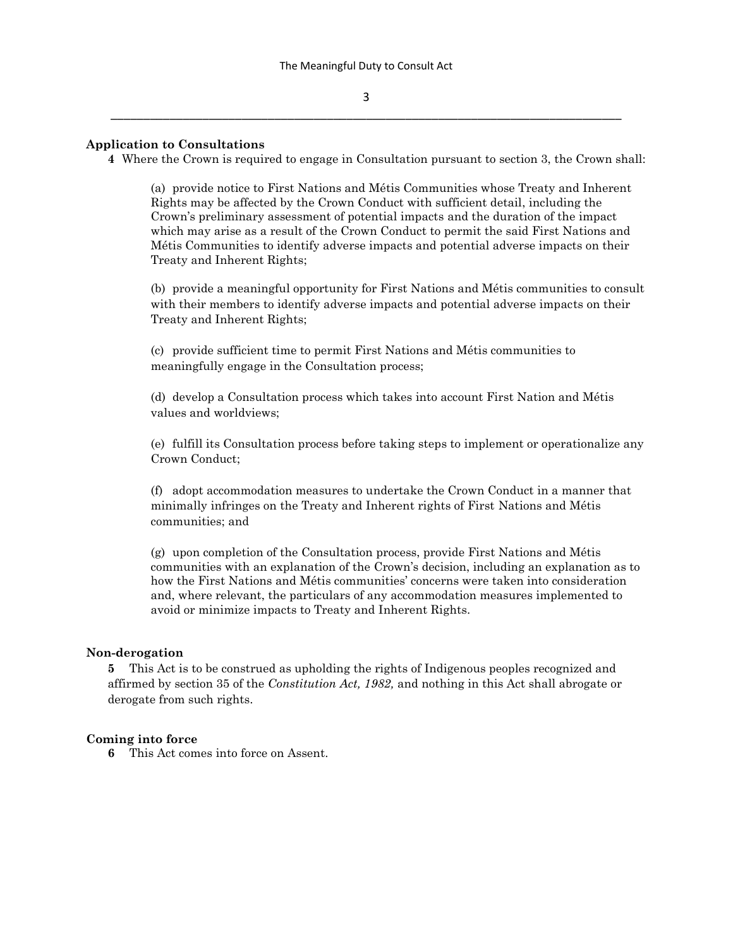#### **Application to Consultations**

**4** Where the Crown is required to engage in Consultation pursuant to section 3, the Crown shall:

(a) provide notice to First Nations and Métis Communities whose Treaty and Inherent Rights may be affected by the Crown Conduct with sufficient detail, including the Crown's preliminary assessment of potential impacts and the duration of the impact which may arise as a result of the Crown Conduct to permit the said First Nations and Métis Communities to identify adverse impacts and potential adverse impacts on their Treaty and Inherent Rights;

(b) provide a meaningful opportunity for First Nations and Métis communities to consult with their members to identify adverse impacts and potential adverse impacts on their Treaty and Inherent Rights;

(c) provide sufficient time to permit First Nations and Métis communities to meaningfully engage in the Consultation process;

(d) develop a Consultation process which takes into account First Nation and Métis values and worldviews;

(e) fulfill its Consultation process before taking steps to implement or operationalize any Crown Conduct;

(f) adopt accommodation measures to undertake the Crown Conduct in a manner that minimally infringes on the Treaty and Inherent rights of First Nations and Métis communities; and

(g) upon completion of the Consultation process, provide First Nations and Métis communities with an explanation of the Crown's decision, including an explanation as to how the First Nations and Métis communities' concerns were taken into consideration and, where relevant, the particulars of any accommodation measures implemented to avoid or minimize impacts to Treaty and Inherent Rights.

#### **Non-derogation**

**5** This Act is to be construed as upholding the rights of Indigenous peoples recognized and affirmed by section 35 of the *Constitution Act, 1982,* and nothing in this Act shall abrogate or derogate from such rights.

#### **Coming into force**

**6** This Act comes into force on Assent.